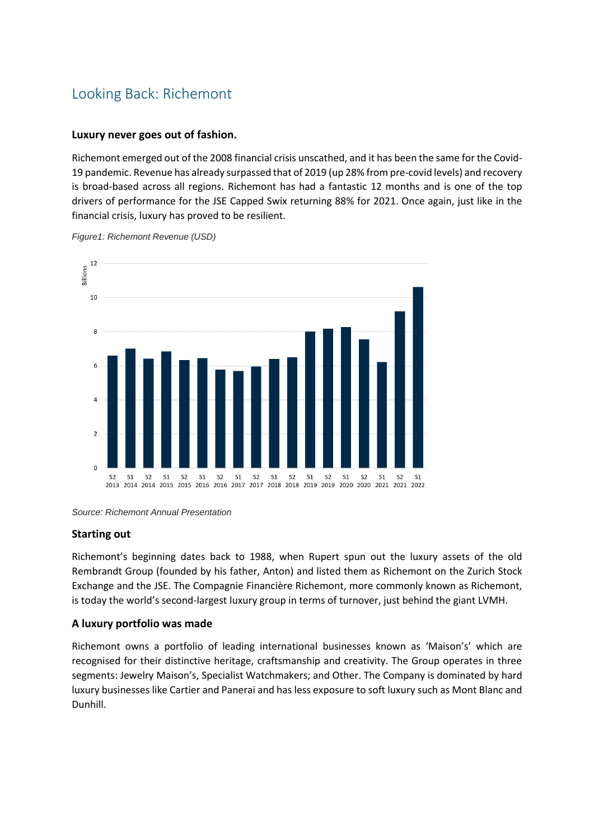# Looking Back: Richemont

## **Luxury never goes out of fashion.**

Richemont emerged out of the 2008 financial crisis unscathed, and it has been the same for the Covid-19 pandemic. Revenue has already surpassed that of 2019 (up 28% from pre-covid levels) and recovery is broad-based across all regions. Richemont has had a fantastic 12 months and is one of the top drivers of performance for the JSE Capped Swix returning 88% for 2021. Once again, just like in the financial crisis, luxury has proved to be resilient.



*Figure1: Richemont Revenue (USD)*

*Source: Richemont Annual Presentation*

## **Starting out**

Richemont's beginning dates back to 1988, when Rupert spun out the luxury assets of the old Rembrandt Group (founded by his father, Anton) and listed them as Richemont on the Zurich Stock Exchange and the JSE. The Compagnie Financière Richemont, more commonly known as Richemont, is today the world's second-largest luxury group in terms of turnover, just behind the giant LVMH.

## **A luxury portfolio was made**

Richemont owns a portfolio of leading international businesses known as 'Maison's' which are recognised for their distinctive heritage, craftsmanship and creativity. The Group operates in three segments: Jewelry Maison's, Specialist Watchmakers; and Other. The Company is dominated by hard luxury businesses like Cartier and Panerai and has less exposure to soft luxury such as Mont Blanc and Dunhill.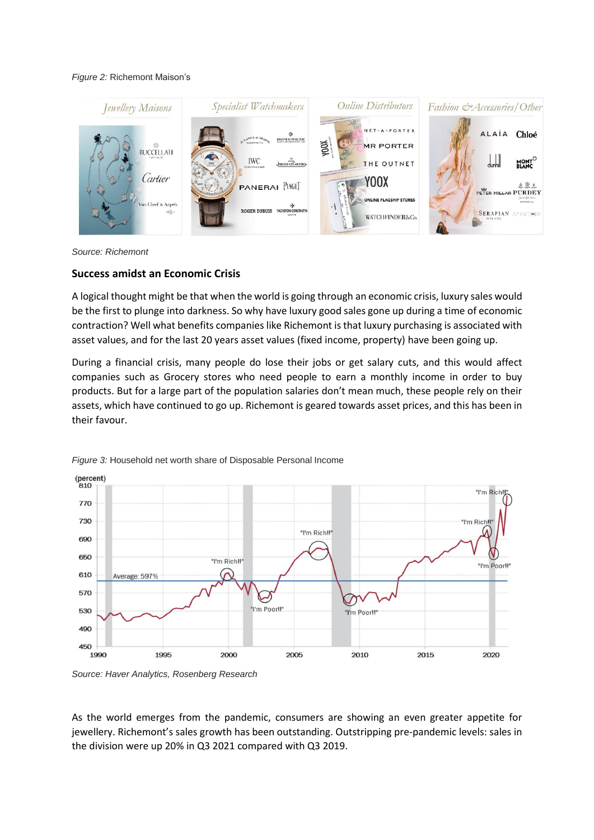#### *Figure 2:* Richemont Maison's



*Source: Richemont*

#### **Success amidst an Economic Crisis**

A logical thought might be that when the world is going through an economic crisis, luxury sales would be the first to plunge into darkness. So why have luxury good sales gone up during a time of economic contraction? Well what benefits companies like Richemont is that luxury purchasing is associated with asset values, and for the last 20 years asset values (fixed income, property) have been going up.

During a financial crisis, many people do lose their jobs or get salary cuts, and this would affect companies such as Grocery stores who need people to earn a monthly income in order to buy products. But for a large part of the population salaries don't mean much, these people rely on their assets, which have continued to go up. Richemont is geared towards asset prices, and this has been in their favour.



*Figure 3:* Household net worth share of Disposable Personal Income

*Source: Haver Analytics, Rosenberg Research*

As the world emerges from the pandemic, consumers are showing an even greater appetite for jewellery. Richemont's sales growth has been outstanding. Outstripping pre-pandemic levels: sales in the division were up 20% in Q3 2021 compared with Q3 2019.